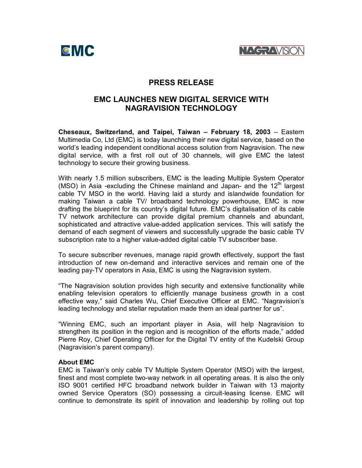



## **PRESS RELEASE**

# **EMC LAUNCHES NEW DIGITAL SERVICE WITH NAGRAVISION TECHNOLOGY**

**Cheseaux, Switzerland, and Taipei, Taiwan – February 18, 2003** – Eastern Multimedia Co, Ltd (EMC) is today launching their new digital service, based on the world's leading independent conditional access solution from Nagravision. The new digital service, with a first roll out of 30 channels, will give EMC the latest technology to secure their growing business.

With nearly 1.5 million subscribers, EMC is the leading Multiple System Operator (MSO) in Asia -excluding the Chinese mainland and Japan- and the  $12<sup>th</sup>$  largest cable TV MSO in the world. Having laid a sturdy and islandwide foundation for making Taiwan a cable TV/ broadband technology powerhouse, EMC is now drafting the blueprint for its country's digital future.EMC's digitalisation of its cable TV network architecture can provide digital premium channels and abundant, sophisticated and attractive value-added application services.This will satisfy the demand of each segment of viewers and successfully upgrade the basic cable TV subscription rate to a higher value-added digital cable TV subscriber base.

To secure subscriber revenues, manage rapid growth effectively, support the fast introduction of new on-demand and interactive services and remain one of the leading pay-TV operators in Asia, EMC is using the Nagravision system.

"The Nagravision solution provides high security and extensive functionality while enabling television operators to efficiently manage business growth in a cost effective way," said Charles Wu, Chief Executive Officer at EMC."Nagravision's leading technology and stellar reputation made them an ideal partner for us".

"Winning EMC, such an important player in Asia, will help Nagravision to strengthen its position in the region and is recognition of the efforts made," added Pierre Roy, Chief Operating Officer for the Digital TV entity of the Kudelski Group (Nagravision's parent company).

### **About EMC**

EMC is Taiwan's only cable TV Multiple System Operator (MSO) with the largest, finest and most complete two-way network in all operating areas. It is also the only ISO 9001 certified HFC broadband network builder in Taiwan with 13 majority owned Service Operators (SO) possessing a circuit-leasing license.EMC will continue to demonstrate its spirit of innovation and leadership by rolling out top